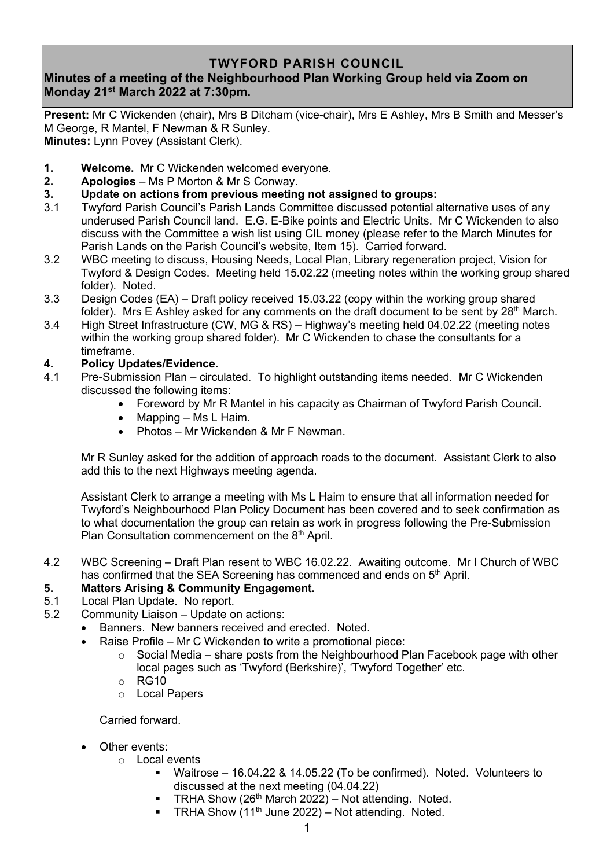## **TWYFORD PARISH COUNCIL**

# **Minutes of a meeting of the Neighbourhood Plan Working Group held via Zoom on Monday 21 st March 2022 at 7:30pm.**

**Present:** Mr C Wickenden (chair), Mrs B Ditcham (vice-chair), Mrs E Ashley, Mrs B Smith and Messer's M George, R Mantel, F Newman & R Sunley. **Minutes:** Lynn Povey (Assistant Clerk).

**1. Welcome.** Mr C Wickenden welcomed everyone.

- **2. Apologies** Ms P Morton & Mr S Conway.
- **3. Update on actions from previous meeting not assigned to groups:**
- 3.1 Twyford Parish Council's Parish Lands Committee discussed potential alternative uses of any underused Parish Council land. E.G. E-Bike points and Electric Units. Mr C Wickenden to also discuss with the Committee a wish list using CIL money (please refer to the March Minutes for Parish Lands on the Parish Council's website, Item 15). Carried forward.
- 3.2 WBC meeting to discuss, Housing Needs, Local Plan, Library regeneration project, Vision for Twyford & Design Codes. Meeting held 15.02.22 (meeting notes within the working group shared folder). Noted.
- 3.3 Design Codes (EA) Draft policy received 15.03.22 (copy within the working group shared folder). Mrs E Ashley asked for any comments on the draft document to be sent by  $28<sup>th</sup>$  March.
- 3.4 High Street Infrastructure (CW, MG & RS) Highway's meeting held 04.02.22 (meeting notes within the working group shared folder). Mr C Wickenden to chase the consultants for a timeframe.

### **4. Policy Updates/Evidence.**

- 4.1 Pre-Submission Plan circulated. To highlight outstanding items needed. Mr C Wickenden discussed the following items:
	- Foreword by Mr R Mantel in his capacity as Chairman of Twyford Parish Council.
	- Mapping Ms L Haim.
	- Photos Mr Wickenden & Mr F Newman.

Mr R Sunley asked for the addition of approach roads to the document. Assistant Clerk to also add this to the next Highways meeting agenda.

Assistant Clerk to arrange a meeting with Ms L Haim to ensure that all information needed for Twyford's Neighbourhood Plan Policy Document has been covered and to seek confirmation as to what documentation the group can retain as work in progress following the Pre-Submission Plan Consultation commencement on the 8<sup>th</sup> April.

4.2 WBC Screening – Draft Plan resent to WBC 16.02.22. Awaiting outcome. Mr I Church of WBC has confirmed that the SEA Screening has commenced and ends on 5<sup>th</sup> April.

### **5. Matters Arising & Community Engagement.**

- 5.1 Local Plan Update. No report.
- 5.2 Community Liaison Update on actions:
	- Banners. New banners received and erected. Noted.
	- Raise Profile Mr C Wickenden to write a promotional piece:
		- $\circ$  Social Media share posts from the Neighbourhood Plan Facebook page with other local pages such as 'Twyford (Berkshire)', 'Twyford Together' etc.
		- o RG10
		- o Local Papers

Carried forward.

- Other events:
	- o Local events
		- Waitrose 16.04.22 & 14.05.22 (To be confirmed). Noted. Volunteers to discussed at the next meeting (04.04.22)
		- TRHA Show ( $26<sup>th</sup>$  March 2022) Not attending. Noted.
		- **TRHA Show**  $(11<sup>th</sup>$  **June 2022) Not attending. Noted.**